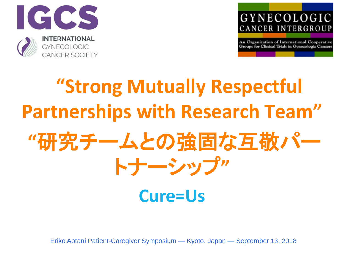



# **"Strong Mutually Respectful Partnerships with Research Team" "**研究チームとの強固な互敬パー トナーシップ**"**

### **Cure=Us**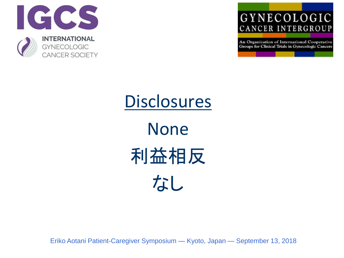



## **Disclosures**

None 利益相反 なし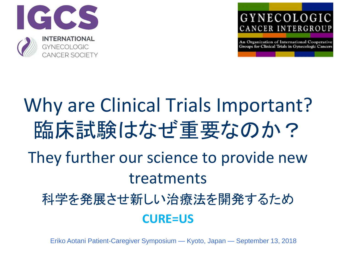



## Why are Clinical Trials Important? 臨床試験はなぜ重要なのか? They further our science to provide new treatments 科学を発展させ新しい治療法を開発するため **CURE=US**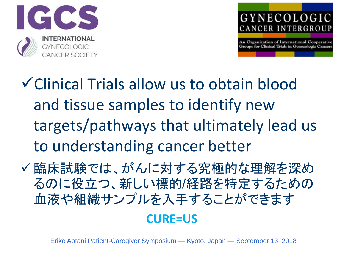



✓Clinical Trials allow us to obtain blood and tissue samples to identify new targets/pathways that ultimately lead us to understanding cancer better

✓ 臨床試験では、がんに対する究極的な理解を深め るのに役立つ、新しい標的/経路を特定するための 血液や組織サンプルを入手することができます

#### **CURE=US**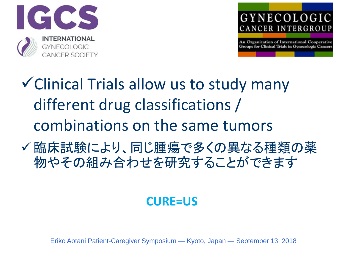



- ✓Clinical Trials allow us to study many different drug classifications / combinations on the same tumors
- ✓ 臨床試験により、同じ腫瘍で多くの異なる種類の薬 物やその組み合わせを研究することができます

#### **CURE=US**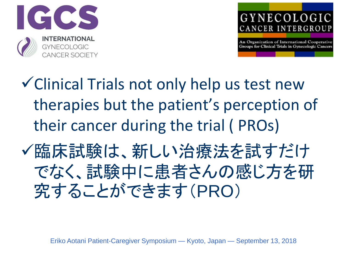



- ✓Clinical Trials not only help us test new therapies but the patient's perception of their cancer during the trial ( PROs)
- ✓臨床試験は、新しい治療法を試すだけ でなく、試験中に患者さんの感じ方を研 究することができます(PRO)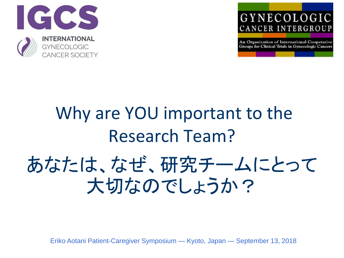



## Why are YOU important to the Research Team? あなたは、なぜ、研究チームにとって 大切なのでしょうか?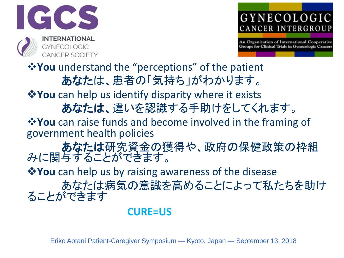



❖**You** understand the "perceptions" of the patient あなたは、患者の「気持ち」がわかります。 ❖**You** can help us identify disparity where it exists あなたは、違いを認識する手助けをしてくれます。 ❖**You** can raise funds and become involved in the framing of government health policies あなたは研究資金の獲得や、政府の保健政策の枠組 みに関与することができます。 ❖**You** can help us by raising awareness of the disease あなたは病気の意識を高めることによって私たちを助け ることができます

#### **CURE=US**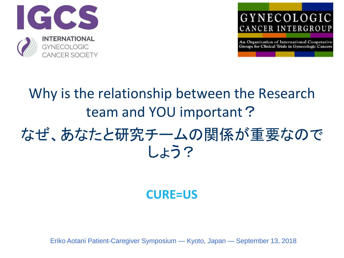



## Why is the relationship between the Research team and YOU important? なぜ、あなたと研究チームの関係が重要なので

しょう?

#### **CURE=US**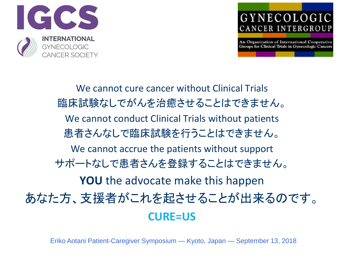



We cannot cure cancer without Clinical Trials 臨床試験なしでがんを治癒させることはできません。 We cannot conduct Clinical Trials without patients 患者さんなしで臨床試験を行うことはできません。 We cannot accrue the patients without support サポートなしで患者さんを登録することはできません。 **YOU** the advocate make this happen あなた方、支援者がこれを起させることが出来るのです。 **CURE=US**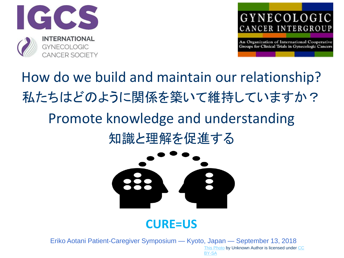



How do we build and maintain our relationship? 私たちはどのように関係を築いて維持していますか? Promote knowledge and understanding 知識と理解を促進する



#### **CURE=US**

Eriko Aotani Patient-Caregiver Symposium — Kyoto, Japan — September 13, 2018 [This Photo](https://commons.wikimedia.org/wiki/File:Knowledge_transfer.svg) [by Unknown Author is licensed under CC](https://creativecommons.org/licenses/by-sa/3.0/)  BY-SA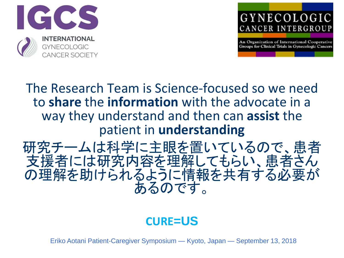



The Research Team is Science-focused so we need to **share** the **information** with the advocate in a way they understand and then can **assist** the patient in **understanding**

研究チームは科学に主眼を置いているので、患者 支援者には研究内容を理解してもらい、患者さん の理解を助けられるように情報を共有する必要が あるのです。

#### **CURE=US**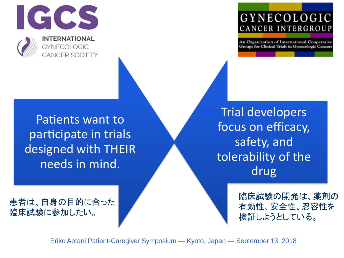

#### GYNECOLOGIC CANCER INTERGROUP

An Organization of International Cooperative Groups for Clinical Trials in Gynecologic Cancers

Patients want to participate in trials designed with THEIR needs in mind.

**Trial developers** focus on efficacy, safety, and tolerability of the drug

> 臨床試験の開発は、薬剤の 有効性、安全性、忍容性を 検証しようとしている。

患者は、自身の目的に合った 臨床試験に参加したい。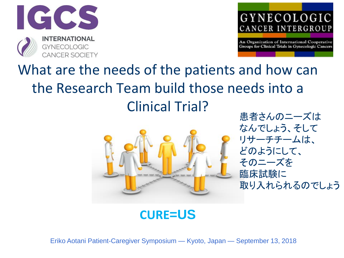



### What are the needs of the patients and how can the Research Team build those needs into a Clinical Trial?



患者さんのニーズは なんでしょう、そして リサーチチームは、 どのようにして、 そのニーズを 臨床試験に 取り入れられるのでしょう

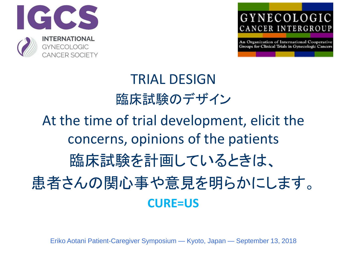



## TRIAL DESIGN 臨床試験のデザイン At the time of trial development, elicit the concerns, opinions of the patients 臨床試験を計画しているときは、 患者さんの関心事や意見を明らかにします。 **CURE=US**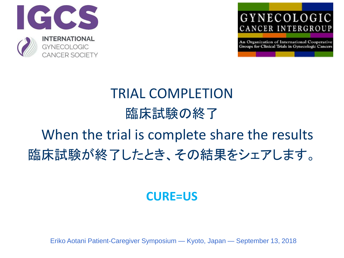



## TRIAL COMPLETION 臨床試験の終了

### When the trial is complete share the results 臨床試験が終了したとき、その結果をシェアします。

#### **CURE=US**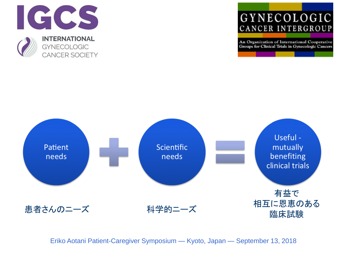

#### GYNECOLOGIC CANCER INTERGROUP

An Organization of International Cooperative Groups for Clinical Trials in Gynecologic Cancers

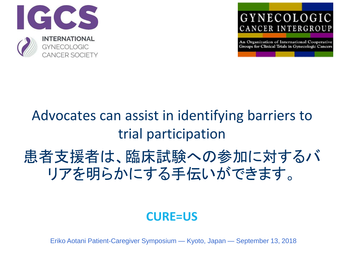



## Advocates can assist in identifying barriers to trial participation 患者支援者は、臨床試験への参加に対するバ リアを明らかにする手伝いができます。

#### **CURE=US**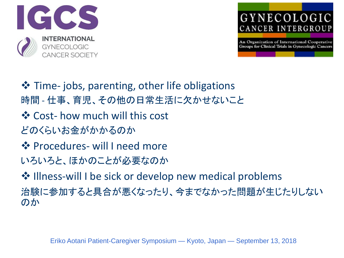



**❖** Time- jobs, parenting, other life obligations 時間 - 仕事、育児、その他の日常生活に欠かせないこと ❖ Cost- how much will this cost どのくらいお金がかかるのか ❖ Procedures- will I need more いろいろと、ほかのことが必要なのか ❖ Illness-will I be sick or develop new medical problems 治験に参加すると具合が悪くなったり、今までなかった問題が生じたりしない のか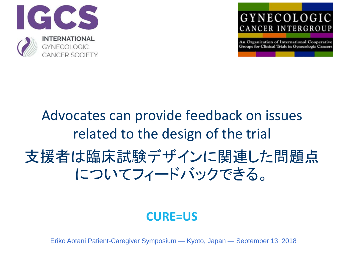



### Advocates can provide feedback on issues related to the design of the trial 支援者は臨床試験デザインに関連した問題点 についてフィードバックできる。

#### **CURE=US**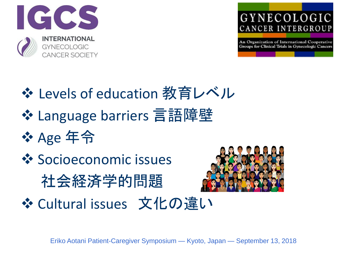



❖ Levels of education 教育レベル ❖ Language barriers 言語障壁 ❖ Age 年令 **❖ Socioeconomic issues** 社会経済学的問題 ❖ Cultural issues 文化の違い

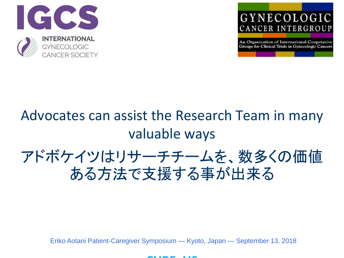



## Advocates can assist the Research Team in many valuable ways

### アドボケイツはリサーチチームを、数多くの価値 ある方法で支援する事が出来る

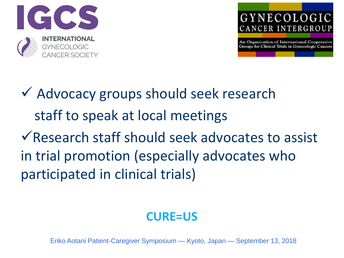



✓ Advocacy groups should seek research staff to speak at local meetings ✓Research staff should seek advocates to assist in trial promotion (especially advocates who participated in clinical trials)

#### **CURE=US**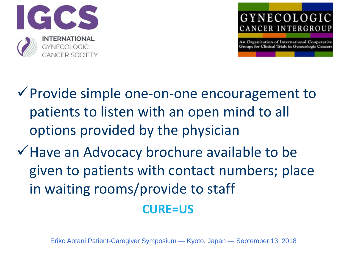



✓Provide simple one-on-one encouragement to patients to listen with an open mind to all options provided by the physician

✓Have an Advocacy brochure available to be given to patients with contact numbers; place in waiting rooms/provide to staff

#### **CURE=US**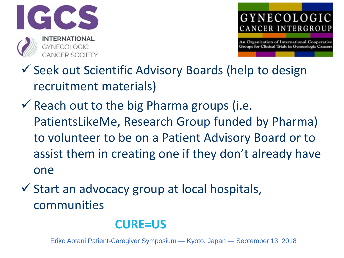



- ✓ Seek out Scientific Advisory Boards (help to design recruitment materials)
- $\checkmark$  Reach out to the big Pharma groups (i.e. PatientsLikeMe, Research Group funded by Pharma) to volunteer to be on a Patient Advisory Board or to assist them in creating one if they don't already have one
- ✓ Start an advocacy group at local hospitals, communities

#### **CURE=US**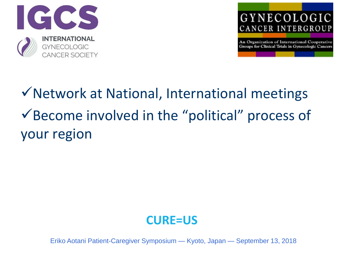



✓Network at National, International meetings ✓Become involved in the "political" process of your region

#### **CURE=US**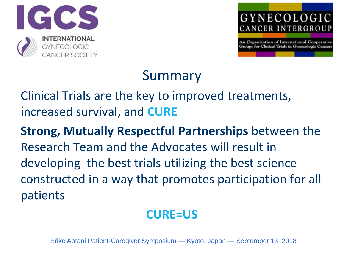



### Summary

Clinical Trials are the key to improved treatments, increased survival, and **CURE**

**Strong, Mutually Respectful Partnerships** between the Research Team and the Advocates will result in developing the best trials utilizing the best science constructed in a way that promotes participation for all patients

#### **CURE=US**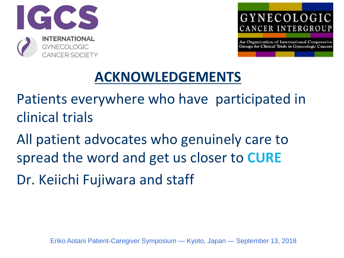



### **ACKNOWLEDGEMENTS**

Patients everywhere who have participated in clinical trials

All patient advocates who genuinely care to spread the word and get us closer to **CURE** Dr. Keiichi Fujiwara and staff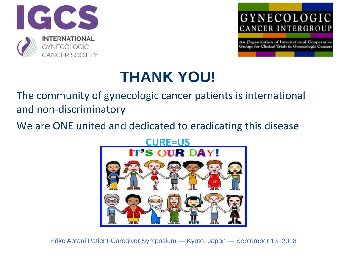



### **THANK YOU!**

The community of gynecologic cancer patients is international and non-discriminatory

We are ONE united and dedicated to eradicating this disease